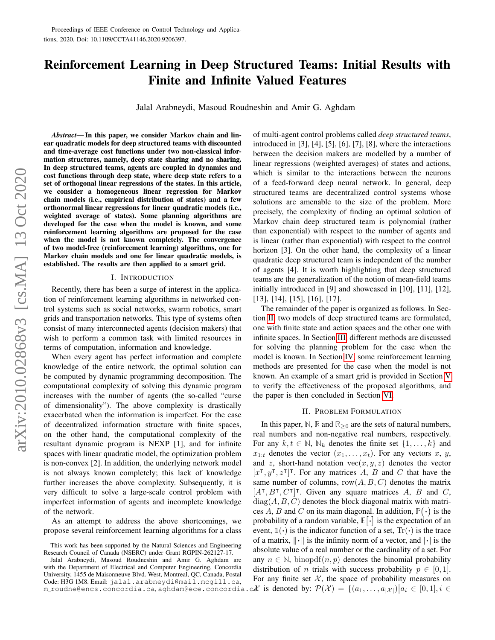# Reinforcement Learning in Deep Structured Teams: Initial Results with Finite and Infinite Valued Features

Jalal Arabneydi, Masoud Roudneshin and Amir G. Aghdam

*Abstract*— In this paper, we consider Markov chain and linear quadratic models for deep structured teams with discounted and time-average cost functions under two non-classical information structures, namely, deep state sharing and no sharing. In deep structured teams, agents are coupled in dynamics and cost functions through deep state, where deep state refers to a set of orthogonal linear regressions of the states. In this article, we consider a homogeneous linear regression for Markov chain models (i.e., empirical distribution of states) and a few orthonormal linear regressions for linear quadratic models (i.e., weighted average of states). Some planning algorithms are developed for the case when the model is known, and some reinforcement learning algorithms are proposed for the case when the model is not known completely. The convergence of two model-free (reinforcement learning) algorithms, one for Markov chain models and one for linear quadratic models, is established. The results are then applied to a smart grid.

#### I. INTRODUCTION

Recently, there has been a surge of interest in the application of reinforcement learning algorithms in networked control systems such as social networks, swarm robotics, smart grids and transportation networks. This type of systems often consist of many interconnected agents (decision makers) that wish to perform a common task with limited resources in terms of computation, information and knowledge.

When every agent has perfect information and complete knowledge of the entire network, the optimal solution can be computed by dynamic programming decomposition. The computational complexity of solving this dynamic program increases with the number of agents (the so-called "curse of dimensionality"). The above complexity is drastically exacerbated when the information is imperfect. For the case of decentralized information structure with finite spaces, on the other hand, the computational complexity of the resultant dynamic program is NEXP [1], and for infinite spaces with linear quadratic model, the optimization problem is non-convex [2]. In addition, the underlying network model is not always known completely; this lack of knowledge further increases the above complexity. Subsequently, it is very difficult to solve a large-scale control problem with imperfect information of agents and incomplete knowledge of the network.

As an attempt to address the above shortcomings, we propose several reinforcement learning algorithms for a class of multi-agent control problems called *deep structured teams*, introduced in [3], [4], [5], [6], [7], [8], where the interactions between the decision makers are modelled by a number of linear regressions (weighted averages) of states and actions, which is similar to the interactions between the neurons of a feed-forward deep neural network. In general, deep structured teams are decentralized control systems whose solutions are amenable to the size of the problem. More precisely, the complexity of finding an optimal solution of Markov chain deep structured team is polynomial (rather than exponential) with respect to the number of agents and is linear (rather than exponential) with respect to the control horizon [3]. On the other hand, the complexity of a linear quadratic deep structured team is independent of the number of agents [4]. It is worth highlighting that deep structured teams are the generalization of the notion of mean-field teams initially introduced in [9] and showcased in [10], [11], [12], [13], [14], [15], [16], [17].

The remainder of the paper is organized as follows. In Section [II,](#page-0-0) two models of deep structured teams are formulated, one with finite state and action spaces and the other one with infinite spaces. In Section [III,](#page-2-0) different methods are discussed for solving the planning problem for the case when the model is known. In Section [IV,](#page-5-0) some reinforcement learning methods are presented for the case when the model is not known. An example of a smart grid is provided in Section [V](#page-6-0) to verify the effectiveness of the proposed algorithms, and the paper is then concluded in Section [VI.](#page-7-0)

#### <span id="page-0-0"></span>II. PROBLEM FORMULATION

m\_roudne@encs.concordia.ca,aghdam@ece.concordia.c $\mathcal{X}$  is denoted by:  $\mathcal{P}(\mathcal{X}) = \{(a_1, \ldots, a_{|\mathcal{X}|}) \big| a_i \in [0,1], i \in$ In this paper,  $\mathbb{N}$ ,  $\mathbb{R}$  and  $\mathbb{R}_{\geq 0}$  are the sets of natural numbers, real numbers and non-negative real numbers, respectively. For any  $k, t \in \mathbb{N}$ ,  $\mathbb{N}_k$  denotes the finite set  $\{1, \ldots, k\}$  and  $x_{1:t}$  denotes the vector  $(x_1, \ldots, x_t)$ . For any vectors x, y, and z, short-hand notation  $vec(x, y, z)$  denotes the vector  $[x^{\intercal}, y^{\intercal}, z^{\intercal}]^{\intercal}$ . For any matrices A, B and C that have the same number of columns,  $row(A, B, C)$  denotes the matrix  $[A^{\dagger}, B^{\dagger}, C^{\dagger}]^{\dagger}$ . Given any square matrices A, B and C,  $diag(A, B, C)$  denotes the block diagonal matrix with matrices A, B and C on its main diagonal. In addition,  $\mathbb{P}(\cdot)$  is the probability of a random variable,  $\mathbb{E}[\cdot]$  is the expectation of an event,  $\mathbb{1}(\cdot)$  is the indicator function of a set,  $Tr(\cdot)$  is the trace of a matrix,  $\|\cdot\|$  is the infinity norm of a vector, and  $|\cdot|$  is the absolute value of a real number or the cardinality of a set. For any  $n \in \mathbb{N}$ , binopdf $(n, p)$  denotes the binomial probability distribution of *n* trials with success probability  $p \in [0, 1]$ . For any finite set  $X$ , the space of probability measures on

This work has been supported by the Natural Sciences and Engineering Research Council of Canada (NSERC) under Grant RGPIN-262127-17.

Jalal Arabneydi, Masoud Roudneshin and Amir G. Aghdam are with the Department of Electrical and Computer Engineering, Concordia University, 1455 de Maisonneuve Blvd. West, Montreal, QC, Canada, Postal Code: H3G 1M8. Email: jalal.arabneydi@mail.mcgill.ca,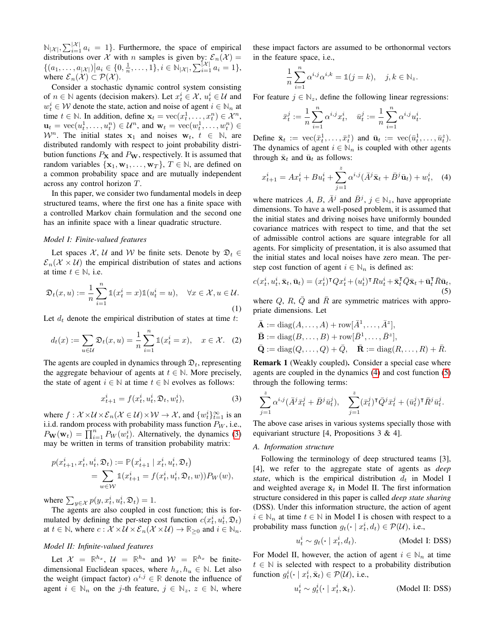$\mathbb{N}_{|\mathcal{X}|}, \sum_{i=1}^{|\mathcal{X}|} a_i = 1$ . Furthermore, the space of empirical distributions over X with n samples is given by:  $\mathcal{E}_n(\mathcal{X}) =$  $\{(a_1, \ldots, a_{|\mathcal{X}|}) | a_i \in \{0, \frac{1}{n}, \ldots, 1\}, i \in \mathbb{N}_{|\mathcal{X}|}, \sum_{i=1}^{|\mathcal{X}|} a_i = 1\},\$ where  $\mathcal{E}_n(\mathcal{X}) \subset \mathcal{P}(\mathcal{X})$ .

Consider a stochastic dynamic control system consisting of  $n \in \mathbb{N}$  agents (decision makers). Let  $x_t^i \in \mathcal{X}$ ,  $u_t^i \in \mathcal{U}$  and  $w_t^i \in \mathcal{W}$  denote the state, action and noise of agent  $i \in \mathbb{N}_n$  at time  $t \in \mathbb{N}$ . In addition, define  $\mathbf{x}_t = \text{vec}(x_t^1, \dots, x_t^n) \in \mathcal{X}^n$ ,  $\mathbf{u}_t = \text{vec}(u_t^1, \dots, u_t^n) \in \mathcal{U}^n$ , and  $\mathbf{w}_t = \text{vec}(w_t^1, \dots, w_t^n) \in$  $W<sup>n</sup>$ . The initial states  $x_1$  and noises  $w_t$ ,  $t \in \mathbb{N}$ , are distributed randomly with respect to joint probability distribution functions  $P_X$  and  $P_W$ , respectively. It is assumed that random variables  $\{x_1, w_1, \ldots, w_T\}$ ,  $T \in \mathbb{N}$ , are defined on a common probability space and are mutually independent across any control horizon T.

In this paper, we consider two fundamental models in deep structured teams, where the first one has a finite space with a controlled Markov chain formulation and the second one has an infinite space with a linear quadratic structure.

## *Model I: Finite-valued features*

Let spaces X, U and W be finite sets. Denote by  $\mathfrak{D}_t \in$  $\mathcal{E}_n(\mathcal{X} \times \mathcal{U})$  the empirical distribution of states and actions at time  $t \in \mathbb{N}$ , i.e.

$$
\mathfrak{D}_t(x, u) := \frac{1}{n} \sum_{i=1}^n \mathbb{1}(x_t^i = x) \mathbb{1}(u_t^i = u), \quad \forall x \in \mathcal{X}, u \in \mathcal{U}.
$$
\n(1)

Let  $d_t$  denote the empirical distribution of states at time t:

$$
d_t(x) := \sum_{u \in \mathcal{U}} \mathfrak{D}_t(x, u) = \frac{1}{n} \sum_{i=1}^n \mathbb{1}(x_t^i = x), \quad x \in \mathcal{X}.
$$
 (2)

The agents are coupled in dynamics through  $\mathcal{D}_t$ , representing the aggregate behaviour of agents at  $t \in \mathbb{N}$ . More precisely, the state of agent  $i \in \mathbb{N}$  at time  $t \in \mathbb{N}$  evolves as follows:

$$
x_{t+1}^i = f(x_t^i, u_t^i, \mathfrak{D}_t, w_t^i),\tag{3}
$$

where  $f: \mathcal{X} \times \mathcal{U} \times \mathcal{E}_n(\mathcal{X} \in \mathcal{U}) \times \mathcal{W} \to \mathcal{X}$ , and  $\{w_t^i\}_{t=1}^\infty$  is an i.i.d. random process with probability mass function  $P_W$ , i.e.,  $P_{\mathbf{W}}(\mathbf{w}_t) = \prod_{i=1}^n P_W(w_t^i)$ . Alternatively, the dynamics [\(3\)](#page-1-0) may be written in terms of transition probability matrix:

$$
p(x_{t+1}^i, x_t^i, u_t^i, \mathfrak{D}_t) := \mathbb{P}(x_{t+1}^i \mid x_t^i, u_t^i, \mathfrak{D}_t)
$$
  
= 
$$
\sum_{w \in \mathcal{W}} \mathbb{1}(x_{t+1}^i = f(x_t^i, u_t^i, \mathfrak{D}_t, w)) P_W(w),
$$

where  $\sum_{y \in \mathcal{X}} p(y, x_t^i, u_t^i, \mathfrak{D}_t) = 1.$ 

The agents are also coupled in cost function; this is formulated by defining the per-step cost function  $c(x_t^i, u_t^i, \mathcal{D}_t)$ at  $t \in \mathbb{N}$ , where  $c : \mathcal{X} \times \mathcal{U} \times \mathcal{E}_n(\mathcal{X} \times \mathcal{U}) \to \mathbb{R}_{\geq 0}$  and  $i \in \mathbb{N}_n$ .

# *Model II: Infinite-valued features*

Let  $\mathcal{X} = \mathbb{R}^{h_x}$ ,  $\mathcal{U} = \mathbb{R}^{h_u}$  and  $\mathcal{W} = \mathbb{R}^{h_x}$  be finitedimensional Euclidean spaces, where  $h_x, h_y \in \mathbb{N}$ . Let also the weight (impact factor)  $\alpha^{i,j} \in \mathbb{R}$  denote the influence of agent  $i \in \mathbb{N}_n$  on the j-th feature,  $j \in \mathbb{N}_z$ ,  $z \in \mathbb{N}$ , where these impact factors are assumed to be orthonormal vectors in the feature space, i.e.,

$$
\frac{1}{n}\sum_{i=1}^n \alpha^{i,j} \alpha^{i,k} = \mathbb{1}(j=k), \quad j,k \in \mathbb{N}_z.
$$

For feature  $j \in \mathbb{N}_z$ , define the following linear regressions:

<span id="page-1-1"></span>
$$
\bar{x}_t^j := \frac{1}{n} \sum_{i=1}^n \alpha^{i,j} x_t^i, \quad \bar{u}_t^j := \frac{1}{n} \sum_{i=1}^n \alpha^{i,j} u_t^i.
$$

Define  $\bar{\mathbf{x}}_t := \text{vec}(\bar{x}_t^1, \dots, \bar{x}_t^z)$  and  $\bar{\mathbf{u}}_t := \text{vec}(\bar{u}_t^1, \dots, \bar{u}_t^z)$ . The dynamics of agent  $i \in \mathbb{N}_n$  is coupled with other agents through  $\bar{\mathbf{x}}_t$  and  $\bar{\mathbf{u}}_t$  as follows:

$$
x_{t+1}^i = Ax_t^i + Bu_t^i + \sum_{j=1}^z \alpha^{i,j} (\bar{A}^j \bar{\mathbf{x}}_t + \bar{B}^j \bar{\mathbf{u}}_t) + w_t^i, \quad (4)
$$

where matrices A, B,  $\bar{A}^j$  and  $\bar{B}^j$ ,  $j \in \mathbb{N}_z$ , have appropriate dimensions. To have a well-posed problem, it is assumed that the initial states and driving noises have uniformly bounded covariance matrices with respect to time, and that the set of admissible control actions are square integrable for all agents. For simplicity of presentation, it is also assumed that the initial states and local noises have zero mean. The perstep cost function of agent  $i \in \mathbb{N}_n$  is defined as:

$$
c(x_t^i, u_t^i, \bar{\mathbf{x}}_t, \bar{\mathbf{u}}_t) = (x_t^i)^\mathsf{T} Q x_t^i + (u_t^i)^\mathsf{T} R u_t^i + \bar{\mathbf{x}}_t^\mathsf{T} \bar{Q} \bar{\mathbf{x}}_t + \bar{\mathbf{u}}_t^\mathsf{T} \bar{R} \bar{\mathbf{u}}_t,\tag{5}
$$

<span id="page-1-4"></span>where  $Q$ ,  $R$ ,  $\overline{Q}$  and  $\overline{R}$  are symmetric matrices with appropriate dimensions. Let

<span id="page-1-5"></span><span id="page-1-2"></span>
$$
\bar{\mathbf{A}} := \text{diag}(A, \dots, A) + \text{row}[\bar{A}^1, \dots, \bar{A}^z],
$$
  
\n
$$
\bar{\mathbf{B}} := \text{diag}(B, \dots, B) + \text{row}[\bar{B}^1, \dots, \bar{B}^z],
$$
  
\n
$$
\bar{\mathbf{Q}} := \text{diag}(Q, \dots, Q) + \bar{Q}, \quad \bar{\mathbf{R}} := \text{diag}(R, \dots, R) + \bar{R}.
$$

<span id="page-1-6"></span>Remark 1 (Weakly coupled). Consider a special case where agents are coupled in the dynamics [\(4\)](#page-1-1) and cost function [\(5\)](#page-1-2) through the following terms:

<span id="page-1-0"></span>
$$
\sum_{j=1}^z \alpha^{i,j} (\bar{A}^j \bar{x}_t^j + \bar{B}^j \bar{u}_t^j), \quad \sum_{j=1}^z (\bar{x}_t^j)^\intercal \bar{Q}^j \bar{x}_t^j + (\bar{u}_t^j)^\intercal \bar{R}^j \bar{u}_t^j.
$$

The above case arises in various systems specially those with equivariant structure [4, Propositions 3 & 4].

# <span id="page-1-3"></span>*A. Information structure*

Following the terminology of deep structured teams [3], [4], we refer to the aggregate state of agents as *deep state*, which is the empirical distribution  $d_t$  in Model I and weighted average  $\bar{\mathbf{x}}_t$  in Model II. The first information structure considered in this paper is called *deep state sharing* (DSS). Under this information structure, the action of agent  $i \in \mathbb{N}_n$  at time  $t \in \mathbb{N}$  in Model I is chosen with respect to a probability mass function  $g_t(\cdot | x_t^i, d_t) \in \mathcal{P}(\mathcal{U})$ , i.e.,

$$
u_t^i \sim g_t(\cdot \mid x_t^i, d_t). \tag{Model I: DSS}
$$

For Model II, however, the action of agent  $i \in \mathbb{N}_n$  at time  $t \in \mathbb{N}$  is selected with respect to a probability distribution function  $g_t^i(\cdot \mid x_t^i, \bar{\mathbf{x}}_t) \in \mathcal{P}(\mathcal{U})$ , i.e.,

$$
u_t^i \sim g_t^i(\cdot \mid x_t^i, \bar{\mathbf{x}}_t). \tag{Model II: DSS}
$$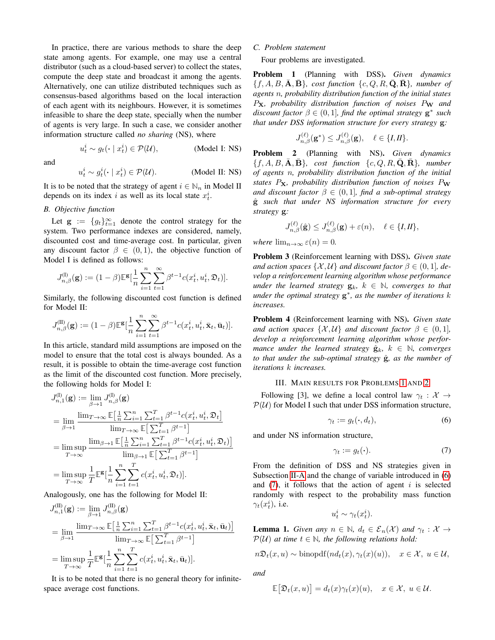In practice, there are various methods to share the deep state among agents. For example, one may use a central distributor (such as a cloud-based server) to collect the states, compute the deep state and broadcast it among the agents. Alternatively, one can utilize distributed techniques such as consensus-based algorithms based on the local interaction of each agent with its neighbours. However, it is sometimes infeasible to share the deep state, specially when the number of agents is very large. In such a case, we consider another information structure called *no sharing* (NS), where

and

$$
u_t^i \sim g_t^i(\cdot \mid x_t^i) \in \mathcal{P}(\mathcal{U}).
$$
 (Model II: NS)

 $(Mode1 I: NS)$ 

It is to be noted that the strategy of agent  $i \in \mathbb{N}_n$  in Model II depends on its index i as well as its local state  $x_t^i$ .

# *B. Objective function*

 $u_t^i \sim g_t(\cdot \mid x_t^i)$ 

Let  $\mathbf{g} := \{g_t\}_{t=1}^{\infty}$  denote the control strategy for the system. Two performance indexes are considered, namely, discounted cost and time-average cost. In particular, given any discount factor  $\beta \in (0,1)$ , the objective function of Model I is defined as follows:

$$
J_{n,\beta}^{(\mathrm{I})}(\mathbf{g}):=(1-\beta)\mathbb{E}^{\mathbf{g}}[\frac{1}{n}\sum_{i=1}^n\sum_{t=1}^\infty\beta^{t-1}c(x_t^i,u_t^i,\mathfrak{D}_t)].
$$

Similarly, the following discounted cost function is defined for Model II:

$$
J_{n,\beta}^{(\text{II})}(\textbf{g}) := (1-\beta)\mathbb{E}^{\textbf{g}}[\frac{1}{n}\sum_{i=1}^n\sum_{t=1}^\infty \beta^{t-1}c(x_t^i,u_t^i,\bar{\textbf{x}}_t,\bar{\textbf{u}}_t)].
$$

In this article, standard mild assumptions are imposed on the model to ensure that the total cost is always bounded. As a result, it is possible to obtain the time-average cost function as the limit of the discounted cost function. More precisely, the following holds for Model I:

$$
J_{n,1}^{(I)}(\mathbf{g}) := \lim_{\beta \to 1} J_{n,\beta}^{(I)}(\mathbf{g})
$$
  
\n
$$
= \lim_{\beta \to 1} \frac{\lim_{T \to \infty} \mathbb{E} \left[ \frac{1}{n} \sum_{i=1}^{n} \sum_{t=1}^{T} \beta^{t-1} c(x_t^i, u_t^i, \mathfrak{D}_t \right]}{\lim_{T \to \infty} \mathbb{E} \left[ \sum_{t=1}^{T} \beta^{t-1} \right]}
$$
  
\n
$$
= \limsup_{T \to \infty} \frac{\lim_{\beta \to 1} \mathbb{E} \left[ \frac{1}{n} \sum_{i=1}^{n} \sum_{t=1}^{T} \beta^{t-1} c(x_t^i, u_t^i, \mathfrak{D}_t) \right]}{\lim_{\beta \to 1} \mathbb{E} \left[ \sum_{t=1}^{T} \beta^{t-1} \right]}
$$
  
\n
$$
= \limsup_{T \to \infty} \frac{1}{T} \mathbb{E}^{\mathbf{g}} \left[ \frac{1}{n} \sum_{i=1}^{n} \sum_{t=1}^{T} c(x_t^i, u_t^i, \mathfrak{D}_t) \right].
$$

Analogously, one has the following for Model II:

$$
J_{n,1}^{(II)}(\mathbf{g}) := \lim_{\beta \to 1} J_{n,\beta}^{(II)}(\mathbf{g})
$$
  
= 
$$
\lim_{\beta \to 1} \frac{\lim_{T \to \infty} \mathbb{E} \left[ \frac{1}{n} \sum_{i=1}^{n} \sum_{t=1}^{T} \beta^{t-1} c(x_t^i, u_t^i, \bar{\mathbf{x}}_t, \bar{\mathbf{u}}_t) \right]}{\lim_{T \to \infty} \mathbb{E} \left[ \sum_{t=1}^{T} \beta^{t-1} \right]}
$$
  
= 
$$
\limsup_{T \to \infty} \frac{1}{T} \mathbb{E}^{\mathbf{g}} \left[ \frac{1}{n} \sum_{i=1}^{n} \sum_{t=1}^{T} c(x_t^i, u_t^i, \bar{\mathbf{x}}_t, \bar{\mathbf{u}}_t) \right].
$$

It is to be noted that there is no general theory for infinitespace average cost functions.

# *C. Problem statement*

Four problems are investigated.

<span id="page-2-1"></span>Problem 1 (Planning with DSS). *Given dynamics*  ${f, A, B, \overline{A}, \overline{B}}$ *, cost function*  ${c, Q, R, \overline{Q}, \overline{R}}$ *, number of agents* n*, probability distribution function of the initial states* PX*, probability distribution function of noises* P<sup>W</sup> *and* discount factor  $\beta \in (0, 1]$ , find the optimal strategy  $\mathbf{g}^*$  such *that under DSS information structure for every strategy* g*:*

$$
J_{n,\beta}^{(\ell)}(\mathbf{g}^*) \le J_{n,\beta}^{(\ell)}(\mathbf{g}), \quad \ell \in \{\mathbf{I},\mathbf{II}\}.
$$

<span id="page-2-2"></span>Problem 2 (Planning with NS). *Given dynamics*  ${f, A, B, \overline{A}, \overline{B}}$ *, cost function*  ${c, Q, R, \overline{Q}, \overline{R}}$ *, number of agents* n*, probability distribution function of the initial states* PX*, probability distribution function of noises* P<sup>W</sup> *and discount factor*  $\beta \in (0,1]$ *, find a sub-optimal strategy* gˆ *such that under NS information structure for every strategy* g*:*

$$
J_{n,\beta}^{(\ell)}(\hat{\mathbf{g}}) \le J_{n,\beta}^{(\ell)}(\mathbf{g}) + \varepsilon(n), \quad \ell \in \{\mathbf{I},\mathbf{II}\},
$$

*where*  $\lim_{n\to\infty} \varepsilon(n) = 0$ .

<span id="page-2-5"></span>Problem 3 (Reinforcement learning with DSS). *Given state and action spaces*  $\{X, U\}$  *and discount factor*  $\beta \in (0, 1]$ *, develop a reinforcement learning algorithm whose performance under the learned strategy*  $\mathbf{g}_k$ ,  $k \in \mathbb{N}$ *, converges to that under the optimal strategy* g ∗ *, as the number of iterations* k *increases.*

<span id="page-2-6"></span>Problem 4 (Reinforcement learning with NS). *Given state and action spaces*  $\{X, U\}$  *and discount factor*  $\beta \in (0, 1]$ *, develop a reinforcement learning algorithm whose performance under the learned strategy*  $\hat{\mathbf{g}}_k$ ,  $k \in \mathbb{N}$ *, converges to that under the sub-optimal strategy*  $\hat{g}$ *, as the number of iterations* k *increases.*

# III. MAIN RESULTS FOR PROBLEMS [1](#page-2-1) AND [2](#page-2-2)

<span id="page-2-0"></span>Following [3], we define a local control law  $\gamma_t : \mathcal{X} \to$  $P(U)$  for Model I such that under DSS information structure,

$$
\gamma_t := g_t(\cdot, d_t),\tag{6}
$$

and under NS information structure,

<span id="page-2-4"></span><span id="page-2-3"></span>
$$
\gamma_t := g_t(\cdot). \tag{7}
$$

From the definition of DSS and NS strategies given in Subsection [II-A](#page-1-3) and the change of variable introduced in [\(6\)](#page-2-3) and  $(7)$ , it follows that the action of agent i is selected randomly with respect to the probability mass function  $\gamma_t(x_t^i)$ , i.e.

$$
u_t^i \sim \gamma_t(x_t^i).
$$

**Lemma 1.** *Given any*  $n \in \mathbb{N}$ *,*  $d_t \in \mathcal{E}_n(\mathcal{X})$  *and*  $\gamma_t : \mathcal{X} \to$  $P(U)$  *at time*  $t \in \mathbb{N}$ *, the following relations hold:* 

$$
n\mathfrak{D}_t(x, u) \sim \text{binopdf}(nd_t(x), \gamma_t(x)(u)), \quad x \in \mathcal{X}, \ u \in \mathcal{U},
$$

*and*

$$
\mathbb{E}[\mathfrak{D}_t(x,u)] = d_t(x)\gamma_t(x)(u), \quad x \in \mathcal{X}, \ u \in \mathcal{U}.
$$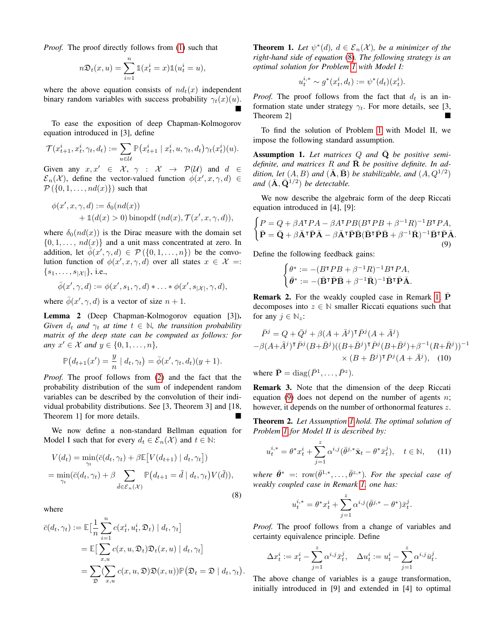*Proof.* The proof directly follows from [\(1\)](#page-1-4) such that

$$
n\mathfrak{D}_t(x, u) = \sum_{i=1}^n \mathbb{1}(x_t^i = x)\mathbb{1}(u_t^i = u),
$$

where the above equation consists of  $nd_t(x)$  independent binary random variables with success probability  $\gamma_t(x)(u)$ . İ.

To ease the exposition of deep Chapman-Kolmogorov equation introduced in [3], define

$$
\mathcal{T}(x_{t+1}^i,x_t^i,\gamma_t,d_t):=\sum_{u\in\mathcal{U}}\mathbb{P}\big(x_{t+1}^i\mid x_t^i,u,\gamma_t,d_t\big)\gamma_t(x_t^i)(u).
$$

Given any  $x, x' \in \mathcal{X}, \gamma : \mathcal{X} \rightarrow \mathcal{P}(\mathcal{U})$  and  $d \in$  $\mathcal{E}_n(\mathcal{X})$ , define the vector-valued function  $\phi(x', x, \gamma, d) \in$  $\mathcal{P}(\{0,1,\ldots,nd(x)\})$  such that

$$
\phi(x', x, \gamma, d) := \delta_0(nd(x)) + \mathbb{1}(d(x) > 0) \text{ binopdf } (nd(x), \mathcal{T}(x', x, \gamma, d)),
$$

where  $\delta_0(nd(x))$  is the Dirac measure with the domain set  $\{0, 1, \ldots, nd(x)\}\$ and a unit mass concentrated at zero. In addition, let  $\phi(x', \gamma, d) \in \mathcal{P}(\{0, 1, ..., n\})$  be the convolution function of  $\phi(x', x, \gamma, d)$  over all states  $x \in \mathcal{X} =$ :  $\{s_1, \ldots, s_{|\mathcal{X}|}\},$  i.e.,

$$
\bar{\phi}(x',\gamma,d):=\phi(x',s_1,\gamma,d)*\ldots*\phi(x',s_{|\mathcal{X}|},\gamma,d),
$$

where  $\bar{\phi}(x', \gamma, d)$  is a vector of size  $n + 1$ .

Lemma 2 (Deep Chapman-Kolmogorov equation [3]). *Given*  $d_t$  *and*  $\gamma_t$  *at time*  $t \in \mathbb{N}$ *, the transition probability matrix of the deep state can be computed as follows: for any*  $x' \in \mathcal{X}$  *and*  $y \in \{0, 1, \ldots, n\}$ *,* 

$$
\mathbb{P}(d_{t+1}(x') = \frac{y}{n} \mid d_t, \gamma_t) = \overline{\phi}(x', \gamma_t, d_t)(y+1).
$$

*Proof.* The proof follows from [\(2\)](#page-1-5) and the fact that the probability distribution of the sum of independent random variables can be described by the convolution of their individual probability distributions. See [3, Theorem 3] and [18, Theorem 1] for more details.

We now define a non-standard Bellman equation for Model I such that for every  $d_t \in \mathcal{E}_n(\mathcal{X})$  and  $t \in \mathbb{N}$ :

$$
V(d_t) = \min_{\gamma_t} (\bar{c}(d_t, \gamma_t) + \beta \mathbb{E}[V(d_{t+1}) | d_t, \gamma_t])
$$
  
= 
$$
\min_{\gamma_t} (\bar{c}(d_t, \gamma_t) + \beta \sum_{\tilde{d} \in \mathcal{E}_n(\mathcal{X})} \mathbb{P}(d_{t+1} = \tilde{d} | d_t, \gamma_t) V(\tilde{d})),
$$
 (8)

where

$$
\bar{c}(d_t, \gamma_t) := \mathbb{E}\big[\frac{1}{n}\sum_{i=1}^n c(x_t^i, u_t^i, \mathfrak{D}_t) \mid d_t, \gamma_t\big]
$$
  
= 
$$
\mathbb{E}\big[\sum_{x,u} c(x, u, \mathfrak{D}_t) \mathfrak{D}_t(x, u) \mid d_t, \gamma_t\big]
$$
  
= 
$$
\sum_{\mathfrak{D}} (\sum_{x,u} c(x, u, \mathfrak{D}) \mathfrak{D}(x, u)) \mathbb{P}(\mathfrak{D}_t = \mathfrak{D} \mid d_t, \gamma_t).
$$

<span id="page-3-5"></span>**Theorem 1.** Let  $\psi^*(d)$ ,  $d \in \mathcal{E}_n(\mathcal{X})$ , be a minimizer of the *right-hand side of equation* [\(8\)](#page-3-0)*. The following strategy is an optimal solution for Problem [1](#page-2-1) with Model I:*

$$
u_t^{i,*} \sim g^*(x_t^i, d_t) := \psi^*(d_t)(x_t^i).
$$

*Proof.* The proof follows from the fact that  $d_t$  is an information state under strategy  $\gamma_t$ . For more details, see [3, Theorem 2]

To find the solution of Problem [1](#page-2-1) with Model II, we impose the following standard assumption.

<span id="page-3-2"></span>Assumption 1. Let matrices Q and  $\overline{Q}$  be positive semi*definite, and matrices*  $R$  *and*  $\bar{R}$  *be positive definite. In ad*dition, let  $(A, B)$  and  $(\overline{\mathbf{A}}, \overline{\mathbf{B}})$  be stabilizable, and  $(A, Q^{1/2})$ and  $(\bar{\mathbf{A}}, \bar{\mathbf{Q}}^{1/2})$  *be detectable.* 

We now describe the algebraic form of the deep Riccati equation introduced in [4], [9]:

$$
\begin{cases}\nP = Q + \beta A^{\mathsf{T}} P A - \beta A^{\mathsf{T}} P B (B^{\mathsf{T}} P B + \beta^{-1} R)^{-1} B^{\mathsf{T}} P A, \\
\bar{P} = \bar{Q} + \beta \bar{A}^{\mathsf{T}} \bar{P} \bar{A} - \beta \bar{A}^{\mathsf{T}} \bar{P} \bar{B} (\bar{B}^{\mathsf{T}} \bar{P} \bar{B} + \beta^{-1} \bar{R})^{-1} \bar{B}^{\mathsf{T}} \bar{P} \bar{A}.\n\end{cases}
$$
\n(9)

Define the following feedback gains:

<span id="page-3-3"></span><span id="page-3-1"></span>
$$
\begin{cases} \theta^* := -(B^{\mathsf{T}}PB + \beta^{-1}R)^{-1}B^{\mathsf{T}}PA, \\ \bar{\theta}^* := -(\bar{\mathbf{B}}^{\mathsf{T}}\bar{\mathbf{P}}\bar{\mathbf{B}} + \beta^{-1}\bar{\mathbf{R}})^{-1}\bar{\mathbf{B}}^{\mathsf{T}}\bar{\mathbf{P}}\bar{\mathbf{A}}. \end{cases}
$$

<span id="page-3-6"></span>**Remark 2.** For the weakly coupled case in Remark [1,](#page-1-6)  $\overline{P}$ decomposes into  $z \in \mathbb{N}$  smaller Riccati equations such that for any  $j \in \mathbb{N}_z$ :

$$
\begin{aligned} \bar{P}^j &= Q + \bar{Q}^j + \beta (A + \bar{A}^j)^\intercal \bar{P}^j (A + \bar{A}^j) \\ - \beta (A + \bar{A}^j)^\intercal \bar{P}^j (B + \bar{B}^j) ((B + \bar{B}^j)^\intercal \bar{P}^j (B + \bar{B}^j) + \beta^{-1} (R + \bar{R}^j))^{-1} \\ &\times (B + \bar{B}^j)^\intercal \bar{P}^j (A + \bar{A}^j), \quad (10) \end{aligned}
$$

where  $\bar{\mathbf{P}} = \text{diag}(\bar{P}^1, \dots, \bar{P}^z)$ .

Remark 3. Note that the dimension of the deep Riccati equation [\(9\)](#page-3-1) does not depend on the number of agents  $n$ ; however, it depends on the number of orthonormal features z.

<span id="page-3-4"></span>Theorem 2. *Let Assumption [1](#page-3-2) hold. The optimal solution of Problem [1](#page-2-1) for Model II is described by:*

$$
u_t^{i,*} = \theta^* x_t^i + \sum_{j=1}^z \alpha^{i,j} (\bar{\theta}^{j,*} \bar{\mathbf{x}}_t - \theta^* \bar{x}_t^j), \quad t \in \mathbb{N}, \quad (11)
$$

<span id="page-3-0"></span>where  $\bar{\theta}^* =: \text{ row}(\bar{\theta}^{1,*}, \dots, \bar{\theta}^{z,*})$ *. For the special case of weakly coupled case in Remark [1,](#page-1-6) one has:*

<span id="page-3-7"></span>
$$
u_t^{i,*} = \theta^* x_t^i + \sum_{j=1}^z \alpha^{i,j} (\bar{\theta}^{j,*} - \theta^*) \bar{x}_t^j.
$$

*Proof.* The proof follows from a change of variables and certainty equivalence principle. Define

$$
\Delta x_t^i := x_t^i - \sum_{j=1}^z \alpha^{i,j} \bar{x}_t^j, \quad \Delta u_t^i := u_t^i - \sum_{j=1}^z \alpha^{i,j} \bar{u}_t^j.
$$

The above change of variables is a gauge transformation, initially introduced in [9] and extended in [4] to optimal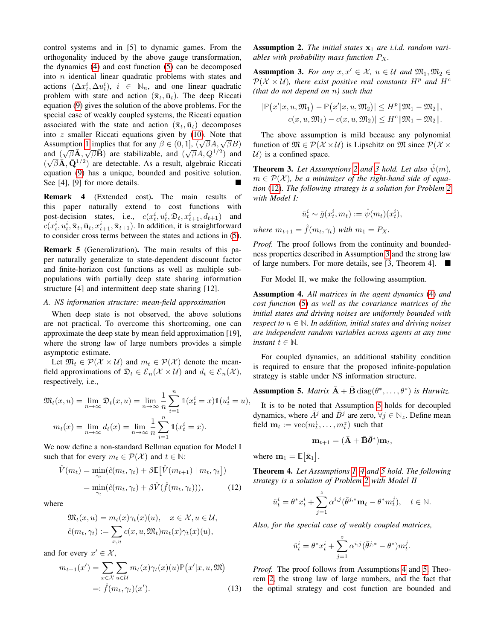control systems and in [5] to dynamic games. From the orthogonality induced by the above gauge transformation, the dynamics [\(4\)](#page-1-1) and cost function [\(5\)](#page-1-2) can be decomposed into n identical linear quadratic problems with states and actions  $(\Delta x_t^i, \Delta u_t^i), i \in \mathbb{N}_n$ , and one linear quadratic problem with state and action  $(\bar{\mathbf{x}}_t, \bar{\mathbf{u}}_t)$ . The deep Riccati equation [\(9\)](#page-3-1) gives the solution of the above problems. For the special case of weakly coupled systems, the Riccati equation associated with the state and action  $(\bar{\mathbf{x}}_t, \bar{\mathbf{u}}_t)$  decomposes into z smaller Riccati equations given by [\(10\)](#page-3-3). Note that Assumption [1](#page-3-2) implies that for any  $\beta \in (0, 1]$ ,  $(\sqrt{\beta}A, \sqrt{\beta}B)$ Assumption 1 implies that for any  $\rho \in (0, 1]$ ,  $(\sqrt{\rho}A, \sqrt{\rho}B)$ <br>and  $(\sqrt{\beta}A, \sqrt{\beta}B)$  are stabilizable, and  $(\sqrt{\beta}A, Q^{1/2})$  and  $(\sqrt{\beta} \widetilde{\mathbf{A}}, \widetilde{\mathbf{Q}}^{1/2})$  are detectable. As a result, algebraic Riccati equation [\(9\)](#page-3-1) has a unique, bounded and positive solution. See [4], [9] for more details.

Remark 4 (Extended cost). The main results of this paper naturally extend to cost functions with post-decision states, i.e.,  $c(x_t^i, u_t^i, \mathfrak{D}_t, x_{t+1}^i, d_{t+1})$  and  $c(x_t^i, u_t^i, \bar{\mathbf{x}}_t, \bar{\mathbf{u}}_t, x_{t+1}^i, \bar{\mathbf{x}}_{t+1})$ . In addition, it is straightforward to consider cross terms between the states and actions in [\(5\)](#page-1-2).

Remark 5 (Generalization). The main results of this paper naturally generalize to state-dependent discount factor and finite-horizon cost functions as well as multiple subpopulations with partially deep state sharing information structure [4] and intermittent deep state sharing [12].

#### *A. NS information structure: mean-field approximation*

When deep state is not observed, the above solutions are not practical. To overcome this shortcoming, one can approximate the deep state by mean field approximation [19], where the strong law of large numbers provides a simple asymptotic estimate.

Let  $\mathfrak{M}_t \in \mathcal{P}(\mathcal{X} \times \mathcal{U})$  and  $m_t \in \mathcal{P}(\mathcal{X})$  denote the meanfield approximations of  $\mathfrak{D}_t \in \mathcal{E}_n(\mathcal{X} \times \mathcal{U})$  and  $d_t \in \mathcal{E}_n(\mathcal{X})$ , respectively, i.e.,

$$
\mathfrak{M}_t(x, u) = \lim_{n \to \infty} \mathfrak{D}_t(x, u) = \lim_{n \to \infty} \frac{1}{n} \sum_{i=1}^n \mathbb{1}(x_t^i = x) \mathbb{1}(u_t^i = u),
$$

$$
m_t(x) = \lim_{n \to \infty} d_t(x) = \lim_{n \to \infty} \frac{1}{n} \sum_{i=1}^n \mathbb{1}(x_t^i = x).
$$

We now define a non-standard Bellman equation for Model I such that for every  $m_t \in \mathcal{P}(\mathcal{X})$  and  $t \in \mathbb{N}$ :

$$
\hat{V}(m_t) = \min_{\gamma_t} (\hat{c}(m_t, \gamma_t) + \beta \mathbb{E} [\hat{V}(m_{t+1}) | m_t, \gamma_t])
$$
  
= 
$$
\min_{\gamma_t} (\hat{c}(m_t, \gamma_t) + \beta \hat{V}(\hat{f}(m_t, \gamma_t))), \quad (12)
$$

where

$$
\mathfrak{M}_t(x, u) = m_t(x)\gamma_t(x)(u), \quad x \in \mathcal{X}, u \in \mathcal{U},
$$
  

$$
\hat{c}(m_t, \gamma_t) := \sum_{x, u} c(x, u, \mathfrak{M}_t) m_t(x)\gamma_t(x)(u),
$$

and for every  $x' \in \mathcal{X}$ ,

$$
m_{t+1}(x') = \sum_{x \in \mathcal{X}} \sum_{u \in \mathcal{U}} m_t(x) \gamma_t(x)(u) \mathbb{P}(x'|x, u, \mathfrak{M})
$$
  
=:  $\hat{f}(m_t, \gamma_t)(x').$  (13)

<span id="page-4-0"></span>Assumption 2. The initial states  $x_1$  are i.i.d. random vari*ables with probability mass function*  $P_X$ .

<span id="page-4-1"></span>Assumption 3. *For any*  $x, x' \in \mathcal{X}$ ,  $u \in \mathcal{U}$  and  $\mathfrak{M}_1, \mathfrak{M}_2 \in$  $\mathcal{P}(\mathcal{X} \times \mathcal{U})$ , there exist positive real constants  $H^p$  and  $H^c$ *(that do not depend on* n*) such that*

$$
|\mathbb{P}(x'|x, u, \mathfrak{M}_1) - \mathbb{P}(x'|x, u, \mathfrak{M}_2)| \le H^p ||\mathfrak{M}_1 - \mathfrak{M}_2||,
$$
  

$$
|c(x, u, \mathfrak{M}_1) - c(x, u, \mathfrak{M}_2)| \le H^c ||\mathfrak{M}_1 - \mathfrak{M}_2||.
$$

The above assumption is mild because any polynomial function of  $\mathfrak{M} \in \mathcal{P}(\mathcal{X} \times \mathcal{U})$  is Lipschitz on  $\mathfrak{M}$  since  $\mathcal{P}(\mathcal{X} \times$  $U$ ) is a confined space.

<span id="page-4-5"></span>**Theorem [3](#page-4-1).** Let Assumptions [2](#page-4-0) and 3 hold. Let also  $\hat{\psi}(m)$ ,  $m \in \mathcal{P}(\mathcal{X})$ , be a minimizer of the right-hand side of equa*tion* [\(12\)](#page-4-2)*. The following strategy is a solution for Problem [2](#page-2-2) with Model I:*

$$
\hat{u}_t^i \sim \hat{g}(x_t^i, m_t) := \hat{\psi}(m_t)(x_t^i),
$$

*where*  $m_{t+1} = \hat{f}(m_t, \gamma_t)$  *with*  $m_1 = P_X$ .

*Proof.* The proof follows from the continuity and boundedness properties described in Assumption [3](#page-4-1) and the strong law of large numbers. For more details, see [3, Theorem 4].

For Model II, we make the following assumption.

<span id="page-4-4"></span>Assumption 4. *All matrices in the agent dynamics* [\(4\)](#page-1-1) *and cost function* [\(5\)](#page-1-2) *as well as the covariance matrices of the initial states and driving noises are uniformly bounded with respect to*  $n \in \mathbb{N}$ *. In addition, initial states and driving noises are independent random variables across agents at any time instant*  $t \in \mathbb{N}$ *.* 

For coupled dynamics, an additional stability condition is required to ensure that the proposed infinite-population strategy is stable under NS information structure.

<span id="page-4-3"></span>**Assumption 5.** *Matrix*  $\bar{\mathbf{A}} + \bar{\mathbf{B}} \text{diag}(\theta^*, \dots, \theta^*)$  *is Hurwitz.* 

It is to be noted that Assumption [5](#page-4-3) holds for decoupled dynamics, where  $\overline{A}^j$  and  $\overline{B}^j$  are zero,  $\forall j \in \mathbb{N}_z$ . Define mean field  $\mathbf{m}_t := \text{vec}(m_t^1, \dots, m_t^z)$  such that

$$
\mathbf{m}_{t+1} = (\bar{\mathbf{A}} + \bar{\mathbf{B}}\bar{\boldsymbol{\theta}}^*) \mathbf{m}_t,
$$

where  $m_1 = \mathbb{E}[\bar{\mathbf{x}}_1]$ .

<span id="page-4-6"></span><span id="page-4-2"></span>Theorem 4. *Let Assumptions [1,](#page-3-2) [4](#page-4-4) and [5](#page-4-3) hold. The following strategy is a solution of Problem [2](#page-2-2) with Model II*

$$
\label{eq:2.1} \hat{u}_t^i = \theta^* x_t^i + \sum_{j=1}^z \alpha^{i,j} (\bar{\theta}^{j,*} \mathbf{m}_t - \theta^* m_t^j), \quad t \in \mathbb{N}.
$$

*Also, for the special case of weakly coupled matrices,*

$$
\hat{u}_t^i = \theta^* x_t^i + \sum_{j=1}^z \alpha^{i,j} (\bar{\theta}^{j,*} - \theta^*) m_t^j
$$

.

<span id="page-4-7"></span>*Proof.* The proof follows from Assumptions [4](#page-4-4) and [5,](#page-4-3) Theorem [2,](#page-3-4) the strong law of large numbers, and the fact that the optimal strategy and cost function are bounded and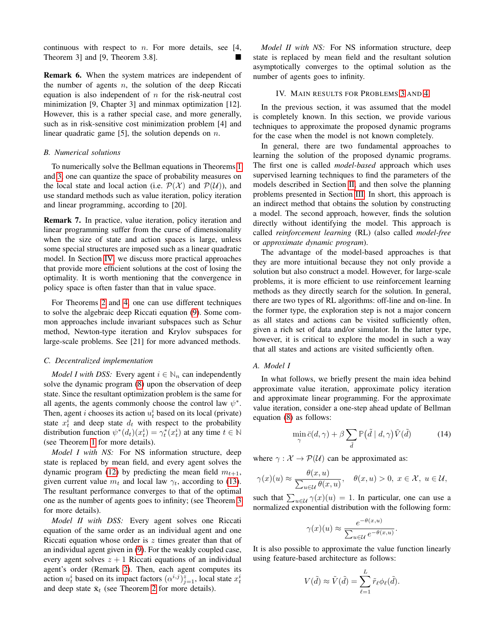continuous with respect to  $n$ . For more details, see [4, Theorem 3] and [9, Theorem 3.8].

Remark 6. When the system matrices are independent of the number of agents  $n$ , the solution of the deep Riccati equation is also independent of  $n$  for the risk-neutral cost minimization [9, Chapter 3] and minmax optimization [12]. However, this is a rather special case, and more generally, such as in risk-sensitive cost minimization problem [4] and linear quadratic game [5], the solution depends on  $n$ .

## *B. Numerical solutions*

To numerically solve the Bellman equations in Theorems [1](#page-3-5) and [3,](#page-4-5) one can quantize the space of probability measures on the local state and local action (i.e.  $\mathcal{P}(\mathcal{X})$  and  $\mathcal{P}(\mathcal{U})$ ), and use standard methods such as value iteration, policy iteration and linear programming, according to [20].

Remark 7. In practice, value iteration, policy iteration and linear programming suffer from the curse of dimensionality when the size of state and action spaces is large, unless some special structures are imposed such as a linear quadratic model. In Section [IV,](#page-5-0) we discuss more practical approaches that provide more efficient solutions at the cost of losing the optimality. It is worth mentioning that the convergence in policy space is often faster than that in value space.

For Theorems [2](#page-3-4) and [4,](#page-4-6) one can use different techniques to solve the algebraic deep Riccati equation [\(9\)](#page-3-1). Some common approaches include invariant subspaces such as Schur method, Newton-type iteration and Krylov subspaces for large-scale problems. See [21] for more advanced methods.

# *C. Decentralized implementation*

*Model I with DSS:* Every agent  $i \in \mathbb{N}_n$  can independently solve the dynamic program [\(8\)](#page-3-0) upon the observation of deep state. Since the resultant optimization problem is the same for all agents, the agents commonly choose the control law  $\psi^*$ . Then, agent *i* chooses its action  $u_t^i$  based on its local (private) state  $x_t^i$  and deep state  $d_t$  with respect to the probability distribution function  $\psi^*(d_t)(x_t^i) = \gamma_t^*(x_t^i)$  at any time  $t \in \mathbb{N}$ (see Theorem [1](#page-3-5) for more details).

*Model I with NS:* For NS information structure, deep state is replaced by mean field, and every agent solves the dynamic program [\(12\)](#page-4-2) by predicting the mean field  $m_{t+1}$ , given current value  $m_t$  and local law  $\gamma_t$ , according to [\(13\)](#page-4-7). The resultant performance converges to that of the optimal one as the number of agents goes to infinity; (see Theorem [3](#page-4-5) for more details).

*Model II with DSS:* Every agent solves one Riccati equation of the same order as an individual agent and one Riccati equation whose order is z times greater than that of an individual agent given in [\(9\)](#page-3-1). For the weakly coupled case, every agent solves  $z + 1$  Riccati equations of an individual agent's order (Remark [2\)](#page-3-6). Then, each agent computes its action  $u_t^i$  based on its impact factors  $(\alpha^{i,j})_{j=1}^z$ , local state  $x_t^i$ and deep state  $\bar{\mathbf{x}}_t$  (see Theorem [2](#page-3-4) for more details).

*Model II with NS:* For NS information structure, deep state is replaced by mean field and the resultant solution asymptotically converges to the optimal solution as the number of agents goes to infinity.

# IV. MAIN RESULTS FOR PROBLEMS [3](#page-2-5) AND [4](#page-2-6)

<span id="page-5-0"></span>In the previous section, it was assumed that the model is completely known. In this section, we provide various techniques to approximate the proposed dynamic programs for the case when the model is not known completely.

In general, there are two fundamental approaches to learning the solution of the proposed dynamic programs. The first one is called *model-based* approach which uses supervised learning techniques to find the parameters of the models described in Section [II,](#page-0-0) and then solve the planning problems presented in Section [III.](#page-2-0) In short, this approach is an indirect method that obtains the solution by constructing a model. The second approach, however, finds the solution directly without identifying the model. This approach is called *reinforcement learning* (RL) (also called *model-free* or *approximate dynamic program*).

The advantage of the model-based approaches is that they are more intuitional because they not only provide a solution but also construct a model. However, for large-scale problems, it is more efficient to use reinforcement learning methods as they directly search for the solution. In general, there are two types of RL algorithms: off-line and on-line. In the former type, the exploration step is not a major concern as all states and actions can be visited sufficiently often, given a rich set of data and/or simulator. In the latter type, however, it is critical to explore the model in such a way that all states and actions are visited sufficiently often.

#### *A. Model I*

In what follows, we briefly present the main idea behind approximate value iteration, approximate policy iteration and approximate linear programming. For the approximate value iteration, consider a one-step ahead update of Bellman equation [\(8\)](#page-3-0) as follows:

<span id="page-5-1"></span>
$$
\min_{\gamma} \bar{c}(d, \gamma) + \beta \sum_{\tilde{d}} \mathbb{P}(\tilde{d} \mid d, \gamma) \tilde{V}(\tilde{d}) \tag{14}
$$

where  $\gamma : \mathcal{X} \to \mathcal{P}(\mathcal{U})$  can be approximated as:

 $\gamma$ 

$$
\gamma(x)(u) \approx \frac{\theta(x, u)}{\sum_{u \in \mathcal{U}} \theta(x, u)}, \quad \theta(x, u) > 0, \ x \in \mathcal{X}, \ u \in \mathcal{U},
$$

such that  $\sum_{u \in \mathcal{U}} \gamma(x)(u) = 1$ . In particular, one can use a normalized exponential distribution with the following form:

$$
(x)(u) \approx \frac{e^{-\theta(x,u)}}{\sum_{u \in \mathcal{U}} e^{-\theta(x,u)}}.
$$

It is also possible to approximate the value function linearly using feature-based architecture as follows:

$$
V(\tilde{d}) \approx \tilde{V}(\tilde{d}) = \sum_{\ell=1}^{L} \tilde{r}_{\ell} \phi_{\ell}(\tilde{d}).
$$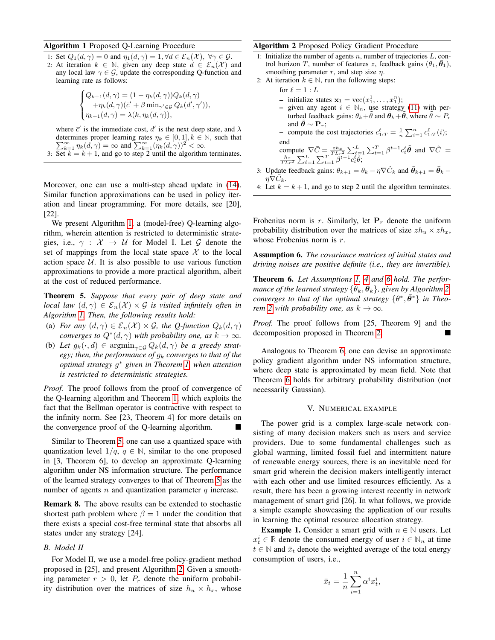# <span id="page-6-1"></span>Algorithm 1 Proposed Q-Learning Procedure

- 1: Set  $Q_1(d, \gamma) = 0$  and  $\eta_1(d, \gamma) = 1, \forall d \in \mathcal{E}_n(\mathcal{X}), \forall \gamma \in \mathcal{G}$ .
- 2: At iteration  $k \in \mathbb{N}$ , given any deep state  $d \in \mathcal{E}_n(\mathcal{X})$  and any local law  $\gamma \in \mathcal{G}$ , update the corresponding Q-function and learning rate as follows:

$$
\begin{cases} Q_{k+1}(d,\gamma) = (1 - \eta_k(d,\gamma))Q_k(d,\gamma) \\ + \eta_k(d,\gamma)(\bar{c}' + \beta \min_{\gamma' \in \mathcal{G}} Q_k(d',\gamma')) \\ \eta_{k+1}(d,\gamma) = \lambda(k, \eta_k(d,\gamma)), \end{cases}
$$

)),

where  $\bar{c}'$  is the immediate cost,  $d'$  is the next deep state, and  $\lambda$ determines proper learning rates P termines proper learning rates  $\eta_k \in [0, 1], k \in \mathbb{N}$ , such that  $\sum_{k=1}^{\infty} \eta_k(d, \gamma) = \infty$  and  $\sum_{k=1}^{\infty} (\eta_k(d, \gamma))^2 < \infty$ . 3: Set  $k = k + 1$ , and go to step 2 until the algorithm terminates.

Moreover, one can use a multi-step ahead update in [\(14\)](#page-5-1). Similar function approximations can be used in policy iteration and linear programming. For more details, see [20], [22].

We present Algorithm [1,](#page-6-1) a (model-free) Q-learning algorithm, wherein attention is restricted to deterministic strategies, i.e.,  $\gamma$  :  $\mathcal{X} \rightarrow \mathcal{U}$  for Model I. Let G denote the set of mappings from the local state space  $X$  to the local action space  $U$ . It is also possible to use various function approximations to provide a more practical algorithm, albeit at the cost of reduced performance.

<span id="page-6-2"></span>Theorem 5. *Suppose that every pair of deep state and local law*  $(d, \gamma) \in \mathcal{E}_n(\mathcal{X}) \times \mathcal{G}$  *is visited infinitely often in Algorithm [1.](#page-6-1) Then, the following results hold:*

- (a) *For any*  $(d, \gamma) \in \mathcal{E}_n(\mathcal{X}) \times \mathcal{G}$ *, the Q-function*  $Q_k(d, \gamma)$ *converges to*  $Q^*(d, \gamma)$  *with probability one, as*  $k \to \infty$ *.*
- (b) Let  $g_k(\cdot, d) \in \operatorname{argmin}_{\gamma \in \mathcal{G}} Q_k(d, \gamma)$  be a greedy strat*egy; then, the performance of*  $g_k$  *converges to that of the optimal strategy* g <sup>∗</sup> *given in Theorem [1,](#page-3-5) when attention is restricted to deterministic strategies.*

*Proof.* The proof follows from the proof of convergence of the Q-learning algorithm and Theorem [1,](#page-3-5) which exploits the fact that the Bellman operator is contractive with respect to the infinity norm. See [23, Theorem 4] for more details on the convergence proof of the Q-learning algorithm.

Similar to Theorem [5,](#page-6-2) one can use a quantized space with quantization level  $1/q, q \in \mathbb{N}$ , similar to the one proposed in [3, Theorem 6], to develop an approximate Q-learning algorithm under NS information structure. The performance of the learned strategy converges to that of Theorem [5](#page-6-2) as the number of agents  $n$  and quantization parameter  $q$  increase.

Remark 8. The above results can be extended to stochastic shortest path problem where  $\beta = 1$  under the condition that there exists a special cost-free terminal state that absorbs all states under any strategy [24].

# *B. Model II*

For Model II, we use a model-free policy-gradient method proposed in [25], and present Algorithm [2.](#page-6-3) Given a smoothing parameter  $r > 0$ , let  $P_r$  denote the uniform probability distribution over the matrices of size  $h_u \times h_x$ , whose

# <span id="page-6-3"></span>Algorithm 2 Proposed Policy Gradient Procedure

- 1: Initialize the number of agents  $n$ , number of trajectories  $L$ , control horizon T, number of features z, feedback gains  $(\theta_1, \theta_1)$ , smoothing parameter r, and step size  $\eta$ .
- 2: At iteration  $k \in \mathbb{N}$ , run the following steps:
	- for  $\ell = 1 : L$ 
		- initialize states  $\mathbf{x}_1 = \text{vec}(x_1^1, \dots, x_1^n);$
		- given any agent  $i \in \mathbb{N}_n$ , use strategy [\(11\)](#page-3-7) with perturbed feedback gains:  $\theta_k + \tilde{\theta}$  and  $\bar{\theta}_k + \tilde{\theta}$ , where  $\tilde{\theta} \sim P_r$ and  $\theta \sim \mathbf{P}_r$ ;

- compute the cost trajectories  $c_{1:T}^{\ell} = \frac{1}{n} \sum_{i=1}^{n} c_{1:T}^{\ell}(i);$ 

end<br>
compute  $\nabla \bar{C} = \frac{zh_x}{TLr^2} \sum_{\ell=1}^L \sum_{\ell=1}^T \beta^{t-1} c_{\ell}^{\ell} \tilde{\theta}$  and  $\nabla \hat{C} = \frac{h_x}{TLr^2} \sum_{\ell=1}^L \sum_{t=1}^T \beta^{t-1} c_{\ell}^{\ell} \tilde{\theta}$ ;

- 3: Update feedback gains:  $\theta_{k+1} = \theta_k \eta \nabla \hat{C}_k$  and  $\bar{\theta}_{k+1} = \bar{\theta}_k \eta \nabla \hat{C}_k$  $\eta \nabla C_k$ .
- 4: Let  $k = k + 1$ , and go to step 2 until the algorithm terminates.

Frobenius norm is r. Similarly, let  $P<sub>r</sub>$  denote the uniform probability distribution over the matrices of size  $zh_u \times zh_x$ , whose Frobenius norm is r.

<span id="page-6-4"></span>Assumption 6. *The covariance matrices of initial states and driving noises are positive definite (i.e., they are invertible).*

<span id="page-6-5"></span>Theorem 6. *Let Assumptions [1,](#page-3-2) [4](#page-4-4) and [6](#page-6-4) hold. The performance of the learned strategy*  $\{\theta_k, \bar{\theta}_k\}$ , given by Algorithm [2,](#page-6-3) *converges to that of the optimal strategy*  $\{\theta^*, \bar{\theta}^*\}$  *in Theorem* [2](#page-3-4) *with probability one, as*  $k \to \infty$ *.* 

*Proof.* The proof follows from [25, Theorem 9] and the decomposition proposed in Theorem [2.](#page-3-4)

Analogous to Theorem [6,](#page-6-5) one can devise an approximate policy gradient algorithm under NS information structure, where deep state is approximated by mean field. Note that Theorem [6](#page-6-5) holds for arbitrary probability distribution (not necessarily Gaussian).

# V. NUMERICAL EXAMPLE

<span id="page-6-0"></span>The power grid is a complex large-scale network consisting of many decision makers such as users and service providers. Due to some fundamental challenges such as global warming, limited fossil fuel and intermittent nature of renewable energy sources, there is an inevitable need for smart grid wherein the decision makers intelligently interact with each other and use limited resources efficiently. As a result, there has been a growing interest recently in network management of smart grid [26]. In what follows, we provide a simple example showcasing the application of our results in learning the optimal resource allocation strategy.

**Example 1.** Consider a smart grid with  $n \in \mathbb{N}$  users. Let  $x_t^i \in \mathbb{R}$  denote the consumed energy of user  $i \in \mathbb{N}_n$  at time  $t \in \mathbb{N}$  and  $\bar{x}_t$  denote the weighted average of the total energy consumption of users, i.e.,

$$
\bar{x}_t = \frac{1}{n} \sum_{i=1}^n \alpha^i x_t^i,
$$